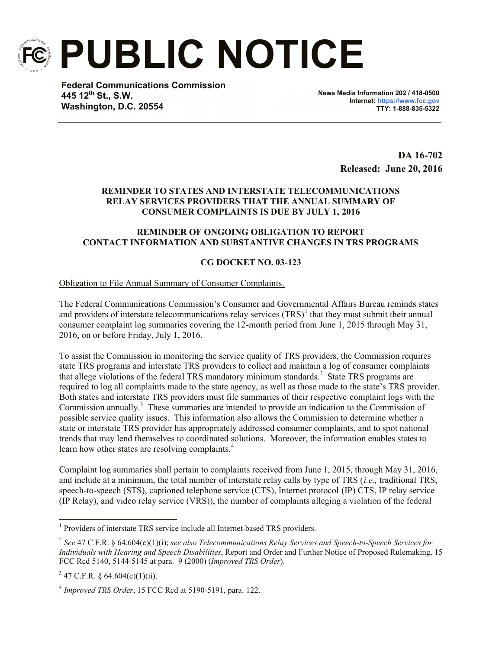

**PUBLIC NOTICE**

**Federal Communications Commission 445 12th St., S.W. Washington, D.C. 20554**

**News Media Information 202 / 418-0500 Internet: https://www.fcc.gov TTY: 1-888-835-5322**

> **DA 16-702 Released: June 20, 2016**

## **REMINDER TO STATES AND INTERSTATE TELECOMMUNICATIONS RELAY SERVICES PROVIDERS THAT THE ANNUAL SUMMARY OF CONSUMER COMPLAINTS IS DUE BY JULY 1, 2016**

## **REMINDER OF ONGOING OBLIGATION TO REPORT CONTACT INFORMATION AND SUBSTANTIVE CHANGES IN TRS PROGRAMS**

## **CG DOCKET NO. 03-123**

Obligation to File Annual Summary of Consumer Complaints.

The Federal Communications Commission's Consumer and Governmental Affairs Bureau reminds states and providers of interstate telecommunications relay services  $(TRS)^{1}$  that they must submit their annual consumer complaint log summaries covering the 12-month period from June 1, 2015 through May 31, 2016, on or before Friday, July 1, 2016.

To assist the Commission in monitoring the service quality of TRS providers, the Commission requires state TRS programs and interstate TRS providers to collect and maintain a log of consumer complaints that allege violations of the federal TRS mandatory minimum standards.<sup>2</sup> State TRS programs are required to log all complaints made to the state agency, as well as those made to the state's TRS provider. Both states and interstate TRS providers must file summaries of their respective complaint logs with the Commission annually.<sup>3</sup> These summaries are intended to provide an indication to the Commission of possible service quality issues. This information also allows the Commission to determine whether a state or interstate TRS provider has appropriately addressed consumer complaints, and to spot national trends that may lend themselves to coordinated solutions. Moreover, the information enables states to learn how other states are resolving complaints.<sup>4</sup>

Complaint log summaries shall pertain to complaints received from June 1, 2015, through May 31, 2016, and include at a minimum, the total number of interstate relay calls by type of TRS (*i.e.,* traditional TRS, speech-to-speech (STS), captioned telephone service (CTS), Internet protocol (IP) CTS, IP relay service (IP Relay), and video relay service (VRS)), the number of complaints alleging a violation of the federal

l

<sup>&</sup>lt;sup>1</sup> Providers of interstate TRS service include all Internet-based TRS providers.

<sup>2</sup> *See* 47 C.F.R. § 64.604(c)(1)(i); *see also Telecommunications Relay Services and Speech-to-Speech Services for Individuals with Hearing and Speech Disabilities*, Report and Order and Further Notice of Proposed Rulemaking, 15 FCC Rcd 5140, 5144-5145 at para. 9 (2000) (*Improved TRS Order*).

 $3\,$  47 C.F.R. § 64.604(c)(1)(ii).

<sup>4</sup> *Improved TRS Order*, 15 FCC Rcd at 5190-5191, para. 122.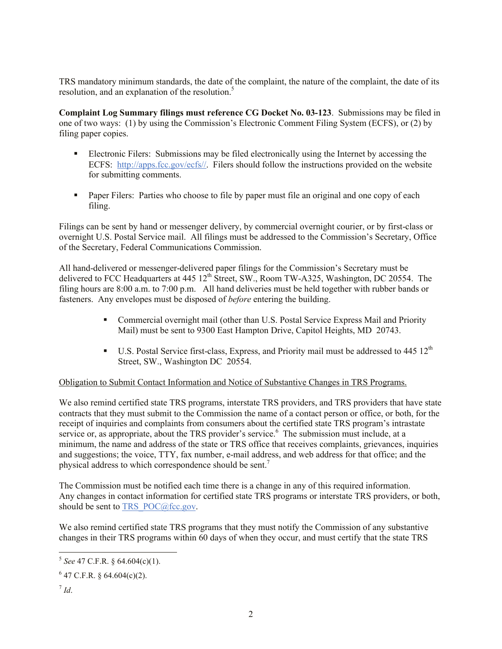TRS mandatory minimum standards, the date of the complaint, the nature of the complaint, the date of its resolution, and an explanation of the resolution.<sup>5</sup>

**Complaint Log Summary filings must reference CG Docket No. 03-123**. Submissions may be filed in one of two ways: (1) by using the Commission's Electronic Comment Filing System (ECFS), or (2) by filing paper copies.

- Electronic Filers: Submissions may be filed electronically using the Internet by accessing the ECFS: http://apps.fcc.gov/ecfs//. Filers should follow the instructions provided on the website for submitting comments.
- Paper Filers: Parties who choose to file by paper must file an original and one copy of each filing.

Filings can be sent by hand or messenger delivery, by commercial overnight courier, or by first-class or overnight U.S. Postal Service mail. All filings must be addressed to the Commission's Secretary, Office of the Secretary, Federal Communications Commission.

All hand-delivered or messenger-delivered paper filings for the Commission's Secretary must be delivered to FCC Headquarters at 445 12<sup>th</sup> Street, SW., Room TW-A325, Washington, DC 20554. The filing hours are 8:00 a.m. to 7:00 p.m. All hand deliveries must be held together with rubber bands or fasteners. Any envelopes must be disposed of *before* entering the building.

- Commercial overnight mail (other than U.S. Postal Service Express Mail and Priority Mail) must be sent to 9300 East Hampton Drive, Capitol Heights, MD 20743.
- $\blacksquare$  U.S. Postal Service first-class, Express, and Priority mail must be addressed to 445 12<sup>th</sup> Street, SW., Washington DC 20554.

## Obligation to Submit Contact Information and Notice of Substantive Changes in TRS Programs.

We also remind certified state TRS programs, interstate TRS providers, and TRS providers that have state contracts that they must submit to the Commission the name of a contact person or office, or both, for the receipt of inquiries and complaints from consumers about the certified state TRS program's intrastate service or, as appropriate, about the TRS provider's service.<sup>6</sup> The submission must include, at a minimum, the name and address of the state or TRS office that receives complaints, grievances, inquiries and suggestions; the voice, TTY, fax number, e-mail address, and web address for that office; and the physical address to which correspondence should be sent.<sup>7</sup>

The Commission must be notified each time there is a change in any of this required information. Any changes in contact information for certified state TRS programs or interstate TRS providers, or both, should be sent to TRS\_POC@fcc.gov.

We also remind certified state TRS programs that they must notify the Commission of any substantive changes in their TRS programs within 60 days of when they occur, and must certify that the state TRS

 5 *See* 47 C.F.R. § 64.604(c)(1).

 $6$  47 C.F.R. § 64.604(c)(2).

<sup>7</sup> *Id*.